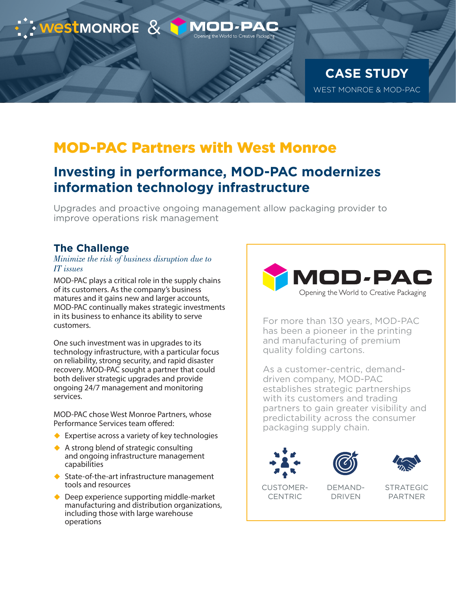

## MOD-PAC Partners with West Monroe

## **Investing in performance, MOD-PAC modernizes information technology infrastructure**

Upgrades and proactive ongoing management allow packaging provider to improve operations risk management

### **The Challenge**

### *Minimize the risk of business disruption due to IT issues*

MOD-PAC plays a critical role in the supply chains of its customers. As the company's business matures and it gains new and larger accounts, MOD-PAC continually makes strategic investments in its business to enhance its ability to serve customers.

One such investment was in upgrades to its technology infrastructure, with a particular focus on reliability, strong security, and rapid disaster recovery. MOD-PAC sought a partner that could both deliver strategic upgrades and provide ongoing 24/7 management and monitoring services.

MOD-PAC chose West Monroe Partners, whose Performance Services team offered:

- $\triangle$  Expertise across a variety of key technologies
- ◆ A strong blend of strategic consulting and ongoing infrastructure management capabilities
- ◆ State-of-the-art infrastructure management tools and resources
- ◆ Deep experience supporting middle-market manufacturing and distribution organizations, including those with large warehouse operations



For more than 130 years, MOD-PAC has been a pioneer in the printing and manufacturing of premium quality folding cartons.

As a customer-centric, demanddriven company, MOD-PAC establishes strategic partnerships with its customers and trading partners to gain greater visibility and predictability across the consumer packaging supply chain.







CUSTOMER-CENTRIC

DEMAND-DRIVEN

STRATEGIC PARTNER